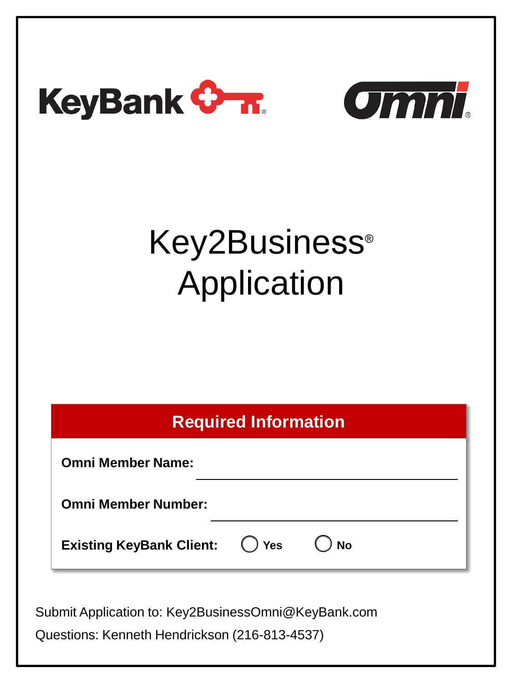



# Key2Business ® Application

# **Required Information**

**Omni Member Name:** 

**Omni Member Number:** 

**Existing KeyBank Client:**  $\bigcirc$  **Yes**  $\bigcirc$  **No** 

Submit Application to: Key2BusinessOmni@KeyBank.com

Questions: Kenneth Hendrickson (216-813-4537)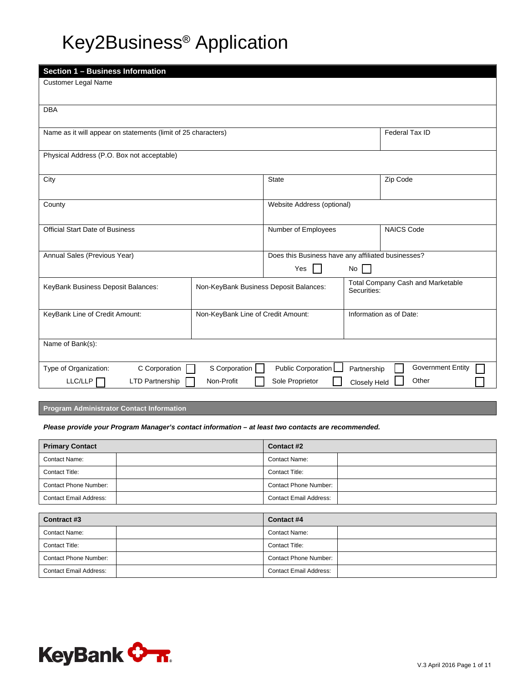# Key2Business® Application

| Section 1 - Business Information                                             |               |                                                         |              |                          |
|------------------------------------------------------------------------------|---------------|---------------------------------------------------------|--------------|--------------------------|
| <b>Customer Legal Name</b>                                                   |               |                                                         |              |                          |
|                                                                              |               |                                                         |              |                          |
| <b>DBA</b>                                                                   |               |                                                         |              |                          |
| Name as it will appear on statements (limit of 25 characters)                |               |                                                         |              | Federal Tax ID           |
|                                                                              |               |                                                         |              |                          |
| Physical Address (P.O. Box not acceptable)                                   |               |                                                         |              |                          |
|                                                                              |               | State                                                   |              | Zip Code                 |
| City                                                                         |               |                                                         |              |                          |
| County                                                                       |               | Website Address (optional)                              |              |                          |
|                                                                              |               |                                                         |              |                          |
| <b>Official Start Date of Business</b>                                       |               | <b>NAICS Code</b><br>Number of Employees                |              |                          |
|                                                                              |               |                                                         |              |                          |
| Annual Sales (Previous Year)                                                 |               | Does this Business have any affiliated businesses?      |              |                          |
|                                                                              |               | Yes<br>No                                               |              |                          |
| Non-KeyBank Business Deposit Balances:<br>KeyBank Business Deposit Balances: |               | <b>Total Company Cash and Marketable</b><br>Securities: |              |                          |
|                                                                              |               |                                                         |              |                          |
| KeyBank Line of Credit Amount:<br>Non-KeyBank Line of Credit Amount:         |               | Information as of Date:                                 |              |                          |
|                                                                              |               |                                                         |              |                          |
| Name of Bank(s):                                                             |               |                                                         |              |                          |
|                                                                              |               |                                                         |              |                          |
| C Corporation<br>Type of Organization:                                       | S Corporation | Public Corporation                                      | Partnership  | <b>Government Entity</b> |
| LLC/LLP<br><b>LTD Partnership</b>                                            | Non-Profit    | Sole Proprietor                                         | Closely Held | Other                    |

**Program Administrator Contact Information**

### *Please provide your Program Manager's contact information – at least two contacts are recommended.*

| <b>Primary Contact</b>        | Contact #2                    |
|-------------------------------|-------------------------------|
| <b>Contact Name:</b>          | <b>Contact Name:</b>          |
| Contact Title:                | <b>Contact Title:</b>         |
| <b>Contact Phone Number:</b>  | Contact Phone Number:         |
| <b>Contact Email Address:</b> | <b>Contact Email Address:</b> |

| Contract #3                   | Contact #4                    |  |
|-------------------------------|-------------------------------|--|
| <b>Contact Name:</b>          | <b>Contact Name:</b>          |  |
| Contact Title:                | <b>Contact Title:</b>         |  |
| <b>Contact Phone Number:</b>  | <b>Contact Phone Number:</b>  |  |
| <b>Contact Email Address:</b> | <b>Contact Email Address:</b> |  |

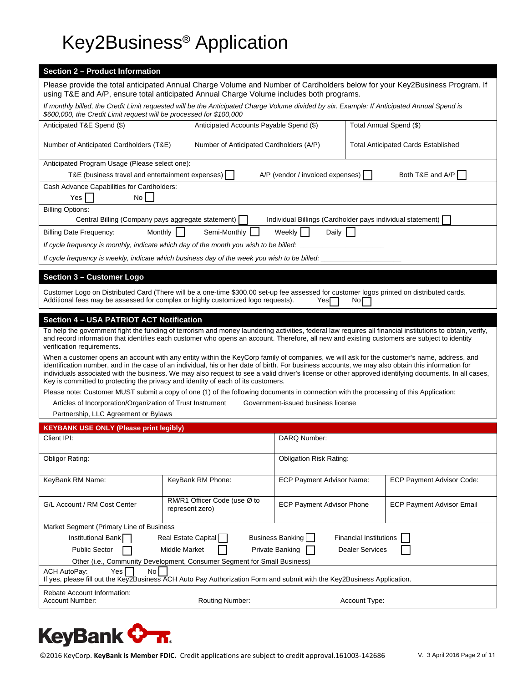# Key2Business® Application

# **Section 2 – Product Information**

Please provide the total anticipated Annual Charge Volume and Number of Cardholders below for your Key2Business Program. If using T&E and A/P, ensure total anticipated Annual Charge Volume includes both programs.

| If monthly billed, the Credit Limit requested will be the Anticipated Charge Volume divided by six. Example: If Anticipated Annual Spend is<br>\$600,000, the Credit Limit request will be processed for \$100,000                                                                                                                                                                                                                                                                                                                           |                                                 |                                                            |                               |                                            |  |
|----------------------------------------------------------------------------------------------------------------------------------------------------------------------------------------------------------------------------------------------------------------------------------------------------------------------------------------------------------------------------------------------------------------------------------------------------------------------------------------------------------------------------------------------|-------------------------------------------------|------------------------------------------------------------|-------------------------------|--------------------------------------------|--|
| Anticipated T&E Spend (\$)                                                                                                                                                                                                                                                                                                                                                                                                                                                                                                                   | Anticipated Accounts Payable Spend (\$)         |                                                            | Total Annual Spend (\$)       |                                            |  |
| Number of Anticipated Cardholders (T&E)                                                                                                                                                                                                                                                                                                                                                                                                                                                                                                      | Number of Anticipated Cardholders (A/P)         |                                                            |                               | <b>Total Anticipated Cards Established</b> |  |
| Anticipated Program Usage (Please select one):                                                                                                                                                                                                                                                                                                                                                                                                                                                                                               |                                                 |                                                            |                               |                                            |  |
| T&E (business travel and entertainment expenses)                                                                                                                                                                                                                                                                                                                                                                                                                                                                                             |                                                 | A/P (vendor / invoiced expenses)                           |                               | Both T&E and A/P                           |  |
| Cash Advance Capabilities for Cardholders:<br>No I<br>Yes                                                                                                                                                                                                                                                                                                                                                                                                                                                                                    |                                                 |                                                            |                               |                                            |  |
| <b>Billing Options:</b>                                                                                                                                                                                                                                                                                                                                                                                                                                                                                                                      |                                                 |                                                            |                               |                                            |  |
| Central Billing (Company pays aggregate statement)                                                                                                                                                                                                                                                                                                                                                                                                                                                                                           |                                                 | Individual Billings (Cardholder pays individual statement) |                               |                                            |  |
| <b>Billing Date Frequency:</b><br>Monthly                                                                                                                                                                                                                                                                                                                                                                                                                                                                                                    | Semi-Monthly                                    | Weekly    <br>Daily                                        |                               |                                            |  |
| If cycle frequency is monthly, indicate which day of the month you wish to be billed:                                                                                                                                                                                                                                                                                                                                                                                                                                                        |                                                 |                                                            |                               |                                            |  |
| If cycle frequency is weekly, indicate which business day of the week you wish to be billed:                                                                                                                                                                                                                                                                                                                                                                                                                                                 |                                                 |                                                            |                               |                                            |  |
| <b>Section 3 - Customer Logo</b>                                                                                                                                                                                                                                                                                                                                                                                                                                                                                                             |                                                 |                                                            |                               |                                            |  |
| Customer Logo on Distributed Card (There will be a one-time \$300.00 set-up fee assessed for customer logos printed on distributed cards.<br>Additional fees may be assessed for complex or highly customized logo requests).                                                                                                                                                                                                                                                                                                                |                                                 | Yes                                                        | No                            |                                            |  |
|                                                                                                                                                                                                                                                                                                                                                                                                                                                                                                                                              |                                                 |                                                            |                               |                                            |  |
| <b>Section 4 - USA PATRIOT ACT Notification</b><br>To help the government fight the funding of terrorism and money laundering activities, federal law requires all financial institutions to obtain, verify,<br>and record information that identifies each customer who opens an account. Therefore, all new and existing customers are subject to identity<br>verification requirements.                                                                                                                                                   |                                                 |                                                            |                               |                                            |  |
| When a customer opens an account with any entity within the KeyCorp family of companies, we will ask for the customer's name, address, and<br>identification number, and in the case of an individual, his or her date of birth. For business accounts, we may also obtain this information for<br>individuals associated with the business. We may also request to see a valid driver's license or other approved identifying documents. In all cases,<br>Key is committed to protecting the privacy and identity of each of its customers. |                                                 |                                                            |                               |                                            |  |
| Please note: Customer MUST submit a copy of one (1) of the following documents in connection with the processing of this Application:                                                                                                                                                                                                                                                                                                                                                                                                        |                                                 |                                                            |                               |                                            |  |
| Articles of Incorporation/Organization of Trust Instrument                                                                                                                                                                                                                                                                                                                                                                                                                                                                                   |                                                 | Government-issued business license                         |                               |                                            |  |
| Partnership, LLC Agreement or Bylaws                                                                                                                                                                                                                                                                                                                                                                                                                                                                                                         |                                                 |                                                            |                               |                                            |  |
| <b>KEYBANK USE ONLY (Please print legibly)</b>                                                                                                                                                                                                                                                                                                                                                                                                                                                                                               |                                                 |                                                            |                               |                                            |  |
| Client IPI:                                                                                                                                                                                                                                                                                                                                                                                                                                                                                                                                  |                                                 | DARQ Number:                                               |                               |                                            |  |
| <b>Obligor Rating:</b>                                                                                                                                                                                                                                                                                                                                                                                                                                                                                                                       | <b>Obligation Risk Rating:</b>                  |                                                            |                               |                                            |  |
| KeyBank RM Name:                                                                                                                                                                                                                                                                                                                                                                                                                                                                                                                             | KeyBank RM Phone:                               | <b>ECP Payment Advisor Name:</b>                           |                               | ECP Payment Advisor Code:                  |  |
| G/L Account / RM Cost Center                                                                                                                                                                                                                                                                                                                                                                                                                                                                                                                 | RM/R1 Officer Code (use Ø to<br>represent zero) | <b>ECP Payment Advisor Phone</b>                           |                               | <b>ECP Payment Advisor Email</b>           |  |
| Market Segment (Primary Line of Business                                                                                                                                                                                                                                                                                                                                                                                                                                                                                                     |                                                 |                                                            |                               |                                            |  |
| Institutional Bank                                                                                                                                                                                                                                                                                                                                                                                                                                                                                                                           | Real Estate Capital                             | Business Banking                                           | <b>Financial Institutions</b> |                                            |  |
| Private Banking<br><b>Public Sector</b><br>Middle Market<br><b>Dealer Services</b>                                                                                                                                                                                                                                                                                                                                                                                                                                                           |                                                 |                                                            |                               |                                            |  |
| Other (i.e., Community Development, Consumer Segment for Small Business)                                                                                                                                                                                                                                                                                                                                                                                                                                                                     |                                                 |                                                            |                               |                                            |  |
| <b>ACH AutoPay:</b><br>Yes<br>No<br>If yes, please fill out the Key2Business ACH Auto Pay Authorization Form and submit with the Key2Business Application.                                                                                                                                                                                                                                                                                                                                                                                   |                                                 |                                                            |                               |                                            |  |
| Rebate Account Information:                                                                                                                                                                                                                                                                                                                                                                                                                                                                                                                  |                                                 |                                                            |                               |                                            |  |

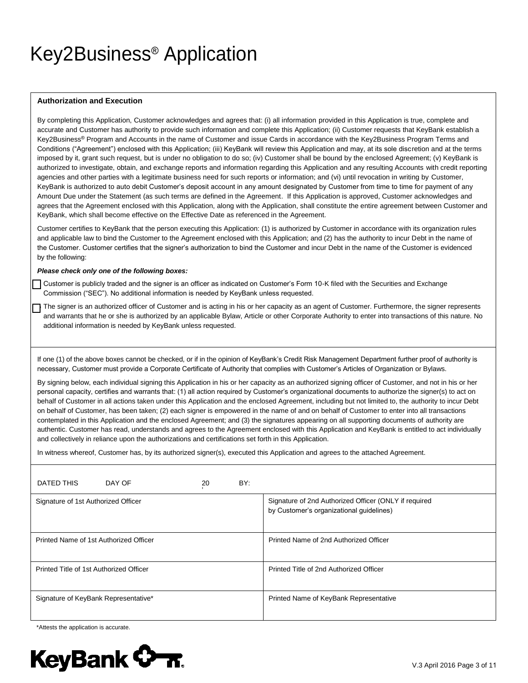# Key2Business® Application

### **Authorization and Execution**

By completing this Application, Customer acknowledges and agrees that: (i) all information provided in this Application is true, complete and accurate and Customer has authority to provide such information and complete this Application; (ii) Customer requests that KeyBank establish a Key2Business® Program and Accounts in the name of Customer and issue Cards in accordance with the Key2Business Program Terms and Conditions ("Agreement") enclosed with this Application; (iii) KeyBank will review this Application and may, at its sole discretion and at the terms imposed by it, grant such request, but is under no obligation to do so; (iv) Customer shall be bound by the enclosed Agreement; (v) KeyBank is authorized to investigate, obtain, and exchange reports and information regarding this Application and any resulting Accounts with credit reporting agencies and other parties with a legitimate business need for such reports or information; and (vi) until revocation in writing by Customer, KeyBank is authorized to auto debit Customer's deposit account in any amount designated by Customer from time to time for payment of any Amount Due under the Statement (as such terms are defined in the Agreement. If this Application is approved, Customer acknowledges and agrees that the Agreement enclosed with this Application, along with the Application, shall constitute the entire agreement between Customer and KeyBank, which shall become effective on the Effective Date as referenced in the Agreement.

Customer certifies to KeyBank that the person executing this Application: (1) is authorized by Customer in accordance with its organization rules and applicable law to bind the Customer to the Agreement enclosed with this Application; and (2) has the authority to incur Debt in the name of the Customer. Customer certifies that the signer's authorization to bind the Customer and incur Debt in the name of the Customer is evidenced by the following:

#### *Please check only one of the following boxes:*

Customer is publicly traded and the signer is an officer as indicated on Customer's Form 10-K filed with the Securities and Exchange Commission ("SEC"). No additional information is needed by KeyBank unless requested.

The signer is an authorized officer of Customer and is acting in his or her capacity as an agent of Customer. Furthermore, the signer represents and warrants that he or she is authorized by an applicable Bylaw, Article or other Corporate Authority to enter into transactions of this nature. No additional information is needed by KeyBank unless requested.

If one (1) of the above boxes cannot be checked, or if in the opinion of KeyBank's Credit Risk Management Department further proof of authority is necessary, Customer must provide a Corporate Certificate of Authority that complies with Customer's Articles of Organization or Bylaws.

By signing below, each individual signing this Application in his or her capacity as an authorized signing officer of Customer, and not in his or her personal capacity, certifies and warrants that: (1) all action required by Customer's organizational documents to authorize the signer(s) to act on behalf of Customer in all actions taken under this Application and the enclosed Agreement, including but not limited to, the authority to incur Debt on behalf of Customer, has been taken; (2) each signer is empowered in the name of and on behalf of Customer to enter into all transactions contemplated in this Application and the enclosed Agreement; and (3) the signatures appearing on all supporting documents of authority are authentic. Customer has read, understands and agrees to the Agreement enclosed with this Application and KeyBank is entitled to act individually and collectively in reliance upon the authorizations and certifications set forth in this Application.

In witness whereof, Customer has, by its authorized signer(s), executed this Application and agrees to the attached Agreement.

| DATED THIS                              | DAY OF | 20 | BY: |                                                                                                   |
|-----------------------------------------|--------|----|-----|---------------------------------------------------------------------------------------------------|
| Signature of 1st Authorized Officer     |        |    |     | Signature of 2nd Authorized Officer (ONLY if required<br>by Customer's organizational guidelines) |
| Printed Name of 1st Authorized Officer  |        |    |     | Printed Name of 2nd Authorized Officer                                                            |
| Printed Title of 1st Authorized Officer |        |    |     | Printed Title of 2nd Authorized Officer                                                           |
| Signature of KeyBank Representative*    |        |    |     | Printed Name of KeyBank Representative                                                            |

\*Attests the application is accurate.

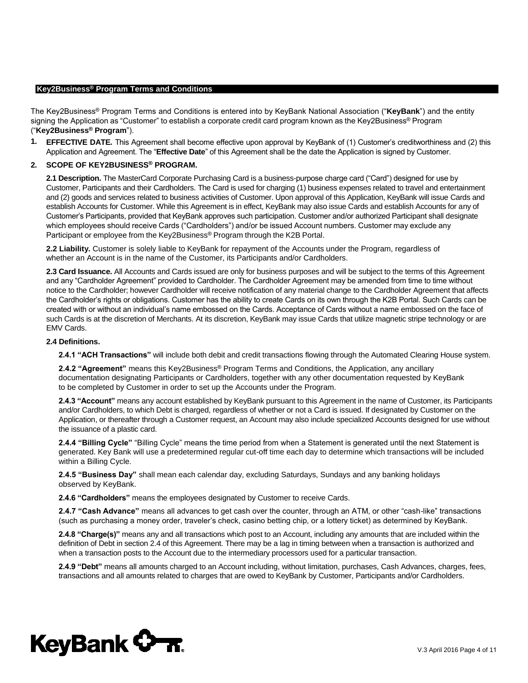The Key2Business® Program Terms and Conditions is entered into by KeyBank National Association ("**KeyBank**") and the entity signing the Application as "Customer" to establish a corporate credit card program known as the Key2Business<sup>®</sup> Program ("**Key2Business® Program**").

**1. EFFECTIVE DATE.** This Agreement shall become effective upon approval by KeyBank of (1) Customer's creditworthiness and (2) this Application and Agreement. The "**Effective Date**" of this Agreement shall be the date the Application is signed by Customer.

# **2. SCOPE OF KEY2BUSINESS® PROGRAM.**

**2.1 Description.** The MasterCard Corporate Purchasing Card is a business-purpose charge card ("Card") designed for use by Customer, Participants and their Cardholders. The Card is used for charging (1) business expenses related to travel and entertainment and (2) goods and services related to business activities of Customer. Upon approval of this Application, KeyBank will issue Cards and establish Accounts for Customer. While this Agreement is in effect, KeyBank may also issue Cards and establish Accounts for any of Customer's Participants, provided that KeyBank approves such participation. Customer and/or authorized Participant shall designate which employees should receive Cards ("Cardholders") and/or be issued Account numbers. Customer may exclude any Participant or employee from the Key2Business® Program through the K2B Portal.

**2.2 Liability.** Customer is solely liable to KeyBank for repayment of the Accounts under the Program, regardless of whether an Account is in the name of the Customer, its Participants and/or Cardholders.

**2.3 Card Issuance.** All Accounts and Cards issued are only for business purposes and will be subject to the terms of this Agreement and any "Cardholder Agreement" provided to Cardholder. The Cardholder Agreement may be amended from time to time without notice to the Cardholder; however Cardholder will receive notification of any material change to the Cardholder Agreement that affects the Cardholder's rights or obligations. Customer has the ability to create Cards on its own through the K2B Portal. Such Cards can be created with or without an individual's name embossed on the Cards. Acceptance of Cards without a name embossed on the face of such Cards is at the discretion of Merchants. At its discretion, KeyBank may issue Cards that utilize magnetic stripe technology or are EMV Cards.

### **2.4 Definitions.**

**2.4.1 "ACH Transactions"** will include both debit and credit transactions flowing through the Automated Clearing House system.

**2.4.2 "Agreement"** means this Key2Business® Program Terms and Conditions, the Application, any ancillary documentation designating Participants or Cardholders, together with any other documentation requested by KeyBank to be completed by Customer in order to set up the Accounts under the Program.

**2.4.3 "Account"** means any account established by KeyBank pursuant to this Agreement in the name of Customer, its Participants and/or Cardholders, to which Debt is charged, regardless of whether or not a Card is issued. If designated by Customer on the Application, or thereafter through a Customer request, an Account may also include specialized Accounts designed for use without the issuance of a plastic card.

**2.4.4 "Billing Cycle"** "Billing Cycle" means the time period from when a Statement is generated until the next Statement is generated. Key Bank will use a predetermined regular cut-off time each day to determine which transactions will be included within a Billing Cycle.

**2.4.5 "Business Day"** shall mean each calendar day, excluding Saturdays, Sundays and any banking holidays observed by KeyBank.

**2.4.6 "Cardholders"** means the employees designated by Customer to receive Cards.

**2.4.7 "Cash Advance"** means all advances to get cash over the counter, through an ATM, or other "cash-like" transactions (such as purchasing a money order, traveler's check, casino betting chip, or a lottery ticket) as determined by KeyBank.

**2.4.8 "Charge(s)"** means any and all transactions which post to an Account, including any amounts that are included within the definition of Debt in section 2.4 of this Agreement. There may be a lag in timing between when a transaction is authorized and when a transaction posts to the Account due to the intermediary processors used for a particular transaction.

**2.4.9 "Debt"** means all amounts charged to an Account including, without limitation, purchases, Cash Advances, charges, fees, transactions and all amounts related to charges that are owed to KeyBank by Customer, Participants and/or Cardholders.

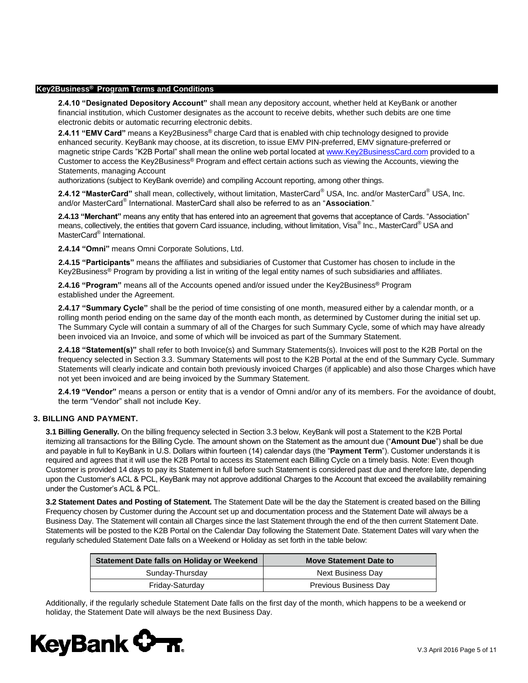**2.4.10 "Designated Depository Account"** shall mean any depository account, whether held at KeyBank or another financial institution, which Customer designates as the account to receive debits, whether such debits are one time electronic debits or automatic recurring electronic debits.

**2.4.11 "EMV Card"** means a Key2Business® charge Card that is enabled with chip technology designed to provide enhanced security. KeyBank may choose, at its discretion, to issue EMV PIN-preferred, EMV signature-preferred or magnetic stripe Cards "K2B Portal" shall mean the online web portal located at www.Key2BusinessCard.com provided to a Customer to access the Key2Business® Program and [effect certain actions such as v](http://www.key2businesscard.com/)iewing the Accounts, viewing the Statements, managing Account

authorizations (subject to KeyBank override) and compiling Account reporting, among other things.

**2.4.12 "MasterCard"** shall mean, collectively, without limitation, MasterCard® USA, Inc. and/or MasterCard® USA, Inc. and/or MasterCard® International. MasterCard shall also be referred to as an "**Association**."

**2.4.13 "Merchant"** means any entity that has entered into an agreement that governs that acceptance of Cards. "Association" means, collectively, the entities that govern Card issuance, including, without limitation, Visa® Inc., MasterCard® USA and MasterCard<sup>®</sup> International.

**2.4.14 "Omni"** means Omni Corporate Solutions, Ltd.

**2.4.15 "Participants"** means the affiliates and subsidiaries of Customer that Customer has chosen to include in the Key2Business® Program by providing a list in writing of the legal entity names of such subsidiaries and affiliates.

**2.4.16 "Program"** means all of the Accounts opened and/or issued under the Key2Business® Program established under the Agreement.

**2.4.17 "Summary Cycle"** shall be the period of time consisting of one month, measured either by a calendar month, or a rolling month period ending on the same day of the month each month, as determined by Customer during the initial set up. The Summary Cycle will contain a summary of all of the Charges for such Summary Cycle, some of which may have already been invoiced via an Invoice, and some of which will be invoiced as part of the Summary Statement.

**2.4.18 "Statement(s)"** shall refer to both Invoice(s) and Summary Statements(s). Invoices will post to the K2B Portal on the frequency selected in Section 3.3. Summary Statements will post to the K2B Portal at the end of the Summary Cycle. Summary Statements will clearly indicate and contain both previously invoiced Charges (if applicable) and also those Charges which have not yet been invoiced and are being invoiced by the Summary Statement.

**2.4.19 "Vendor"** means a person or entity that is a vendor of Omni and/or any of its members. For the avoidance of doubt, the term "Vendor" shall not include Key.

# **3. BILLING AND PAYMENT.**

**3.1 Billing Generally.** On the billing frequency selected in Section 3.3 below, KeyBank will post a Statement to the K2B Portal itemizing all transactions for the Billing Cycle. The amount shown on the Statement as the amount due ("**Amount Due**") shall be due and payable in full to KeyBank in U.S. Dollars within fourteen (14) calendar days (the "**Payment Term**"). Customer understands it is required and agrees that it will use the K2B Portal to access its Statement each Billing Cycle on a timely basis. Note: Even though Customer is provided 14 days to pay its Statement in full before such Statement is considered past due and therefore late, depending upon the Customer's ACL & PCL, KeyBank may not approve additional Charges to the Account that exceed the availability remaining under the Customer's ACL & PCL.

**3.2 Statement Dates and Posting of Statement.** The Statement Date will be the day the Statement is created based on the Billing Frequency chosen by Customer during the Account set up and documentation process and the Statement Date will always be a Business Day. The Statement will contain all Charges since the last Statement through the end of the then current Statement Date. Statements will be posted to the K2B Portal on the Calendar Day following the Statement Date. Statement Dates will vary when the regularly scheduled Statement Date falls on a Weekend or Holiday as set forth in the table below:

| Statement Date falls on Holiday or Weekend | <b>Move Statement Date to</b> |  |
|--------------------------------------------|-------------------------------|--|
| Sunday-Thursday                            | Next Business Day             |  |
| Friday-Saturday                            | Previous Business Day         |  |

Additionally, if the regularly schedule Statement Date falls on the first day of the month, which happens to be a weekend or holiday, the Statement Date will always be the next Business Day.

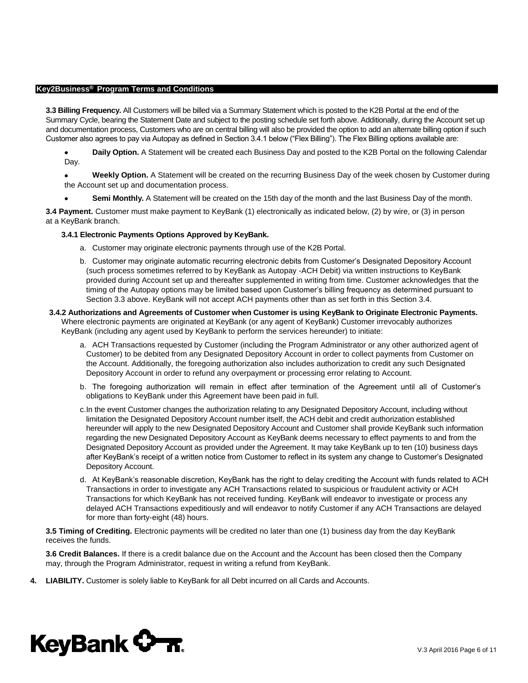**3.3 Billing Frequency.** All Customers will be billed via a Summary Statement which is posted to the K2B Portal at the end of the Summary Cycle, bearing the Statement Date and subject to the posting schedule set forth above. Additionally, during the Account set up and documentation process, Customers who are on central billing will also be provided the option to add an alternate billing option if such Customer also agrees to pay via Autopay as defined in Section 3.4.1 below ("Flex Billing"). The Flex Billing options available are:

 **Daily Option.** A Statement will be created each Business Day and posted to the K2B Portal on the following Calendar Day.

 **Weekly Option.** A Statement will be created on the recurring Business Day of the week chosen by Customer during the Account set up and documentation process.

**Semi Monthly.** A Statement will be created on the 15th day of the month and the last Business Day of the month.

**3.4 Payment.** Customer must make payment to KeyBank (1) electronically as indicated below, (2) by wire, or (3) in person at a KeyBank branch.

#### **3.4.1 Electronic Payments Options Approved by KeyBank.**

- a. Customer may originate electronic payments through use of the K2B Portal.
- b. Customer may originate automatic recurring electronic debits from Customer's Designated Depository Account (such process sometimes referred to by KeyBank as Autopay -ACH Debit) via written instructions to KeyBank provided during Account set up and thereafter supplemented in writing from time. Customer acknowledges that the timing of the Autopay options may be limited based upon Customer's billing frequency as determined pursuant to Section 3.3 above. KeyBank will not accept ACH payments other than as set forth in this Section 3.4.
- **3.4.2 Authorizations and Agreements of Customer when Customer is using KeyBank to Originate Electronic Payments.**  Where electronic payments are originated at KeyBank (or any agent of KeyBank) Customer irrevocably authorizes KeyBank (including any agent used by KeyBank to perform the services hereunder) to initiate:
	- a. ACH Transactions requested by Customer (including the Program Administrator or any other authorized agent of Customer) to be debited from any Designated Depository Account in order to collect payments from Customer on the Account. Additionally, the foregoing authorization also includes authorization to credit any such Designated Depository Account in order to refund any overpayment or processing error relating to Account.
	- b. The foregoing authorization will remain in effect after termination of the Agreement until all of Customer's obligations to KeyBank under this Agreement have been paid in full.
	- c. In the event Customer changes the authorization relating to any Designated Depository Account, including without limitation the Designated Depository Account number itself, the ACH debit and credit authorization established hereunder will apply to the new Designated Depository Account and Customer shall provide KeyBank such information regarding the new Designated Depository Account as KeyBank deems necessary to effect payments to and from the Designated Depository Account as provided under the Agreement. It may take KeyBank up to ten (10) business days after KeyBank's receipt of a written notice from Customer to reflect in its system any change to Customer's Designated Depository Account.
	- d. At KeyBank's reasonable discretion, KeyBank has the right to delay crediting the Account with funds related to ACH Transactions in order to investigate any ACH Transactions related to suspicious or fraudulent activity or ACH Transactions for which KeyBank has not received funding. KeyBank will endeavor to investigate or process any delayed ACH Transactions expeditiously and will endeavor to notify Customer if any ACH Transactions are delayed for more than forty-eight (48) hours.

**3.5 Timing of Crediting.** Electronic payments will be credited no later than one (1) business day from the day KeyBank receives the funds.

**3.6 Credit Balances.** If there is a credit balance due on the Account and the Account has been closed then the Company may, through the Program Administrator, request in writing a refund from KeyBank.

**4. LIABILITY.** Customer is solely liable to KeyBank for all Debt incurred on all Cards and Accounts.

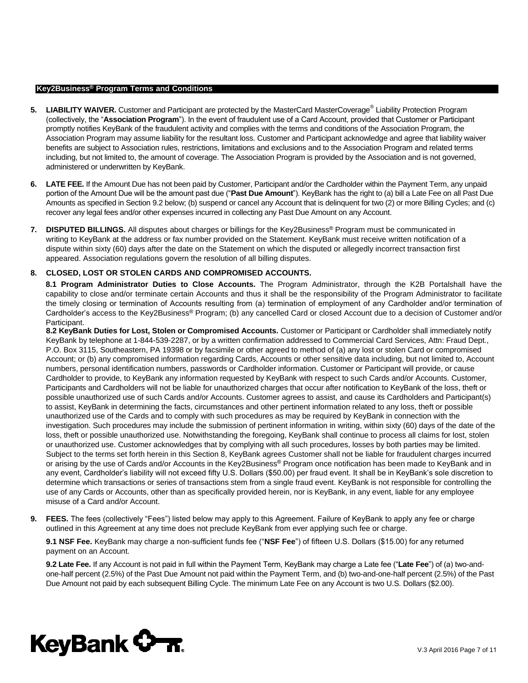- **5. LIABILITY WAIVER.** Customer and Participant are protected by the MasterCard MasterCoverage® Liability Protection Program (collectively, the "**Association Program**"). In the event of fraudulent use of a Card Account, provided that Customer or Participant promptly notifies KeyBank of the fraudulent activity and complies with the terms and conditions of the Association Program, the Association Program may assume liability for the resultant loss. Customer and Participant acknowledge and agree that liability waiver benefits are subject to Association rules, restrictions, limitations and exclusions and to the Association Program and related terms including, but not limited to, the amount of coverage. The Association Program is provided by the Association and is not governed, administered or underwritten by KeyBank.
- **6. LATE FEE.** If the Amount Due has not been paid by Customer, Participant and/or the Cardholder within the Payment Term, any unpaid portion of the Amount Due will be the amount past due ("**Past Due Amount**"). KeyBank has the right to (a) bill a Late Fee on all Past Due Amounts as specified in Section 9.2 below; (b) suspend or cancel any Account that is delinquent for two (2) or more Billing Cycles; and (c) recover any legal fees and/or other expenses incurred in collecting any Past Due Amount on any Account.
- **7. DISPUTED BILLINGS.** All disputes about charges or billings for the Key2Business® Program must be communicated in writing to KeyBank at the address or fax number provided on the Statement. KeyBank must receive written notification of a dispute within sixty (60) days after the date on the Statement on which the disputed or allegedly incorrect transaction first appeared. Association regulations govern the resolution of all billing disputes.

# **8. CLOSED, LOST OR STOLEN CARDS AND COMPROMISED ACCOUNTS.**

**8.1 Program Administrator Duties to Close Accounts.** The Program Administrator, through the K2B Portalshall have the capability to close and/or terminate certain Accounts and thus it shall be the responsibility of the Program Administrator to facilitate the timely closing or termination of Accounts resulting from (a) termination of employment of any Cardholder and/or termination of Cardholder's access to the Key2Business® Program; (b) any cancelled Card or closed Account due to a decision of Customer and/or Participant.

**8.2 KeyBank Duties for Lost, Stolen or Compromised Accounts.** Customer or Participant or Cardholder shall immediately notify KeyBank by telephone at 1-844-539-2287, or by a written confirmation addressed to Commercial Card Services, Attn: Fraud Dept., P.O. Box 3115, Southeastern, PA 19398 or by facsimile or other agreed to method of (a) any lost or stolen Card or compromised Account; or (b) any compromised information regarding Cards, Accounts or other sensitive data including, but not limited to, Account numbers, personal identification numbers, passwords or Cardholder information. Customer or Participant will provide, or cause Cardholder to provide, to KeyBank any information requested by KeyBank with respect to such Cards and/or Accounts. Customer, Participants and Cardholders will not be liable for unauthorized charges that occur after notification to KeyBank of the loss, theft or possible unauthorized use of such Cards and/or Accounts. Customer agrees to assist, and cause its Cardholders and Participant(s) to assist, KeyBank in determining the facts, circumstances and other pertinent information related to any loss, theft or possible unauthorized use of the Cards and to comply with such procedures as may be required by KeyBank in connection with the investigation. Such procedures may include the submission of pertinent information in writing, within sixty (60) days of the date of the loss, theft or possible unauthorized use. Notwithstanding the foregoing, KeyBank shall continue to process all claims for lost, stolen or unauthorized use. Customer acknowledges that by complying with all such procedures, losses by both parties may be limited. Subject to the terms set forth herein in this Section 8, KeyBank agrees Customer shall not be liable for fraudulent charges incurred or arising by the use of Cards and/or Accounts in the Key2Business® Program once notification has been made to KeyBank and in any event, Cardholder's liability will not exceed fifty U.S. Dollars (\$50.00) per fraud event. It shall be in KeyBank's sole discretion to determine which transactions or series of transactions stem from a single fraud event. KeyBank is not responsible for controlling the use of any Cards or Accounts, other than as specifically provided herein, nor is KeyBank, in any event, liable for any employee misuse of a Card and/or Account.

**9. FEES.** The fees (collectively "Fees") listed below may apply to this Agreement. Failure of KeyBank to apply any fee or charge outlined in this Agreement at any time does not preclude KeyBank from ever applying such fee or charge.

**9.1 NSF Fee.** KeyBank may charge a non-sufficient funds fee ("**NSF Fee**") of fifteen U.S. Dollars (\$15.00) for any returned payment on an Account.

**9.2 Late Fee.** If any Account is not paid in full within the Payment Term, KeyBank may charge a Late fee ("**Late Fee**") of (a) two-andone-half percent (2.5%) of the Past Due Amount not paid within the Payment Term, and (b) two-and-one-half percent (2.5%) of the Past Due Amount not paid by each subsequent Billing Cycle. The minimum Late Fee on any Account is two U.S. Dollars (\$2.00).

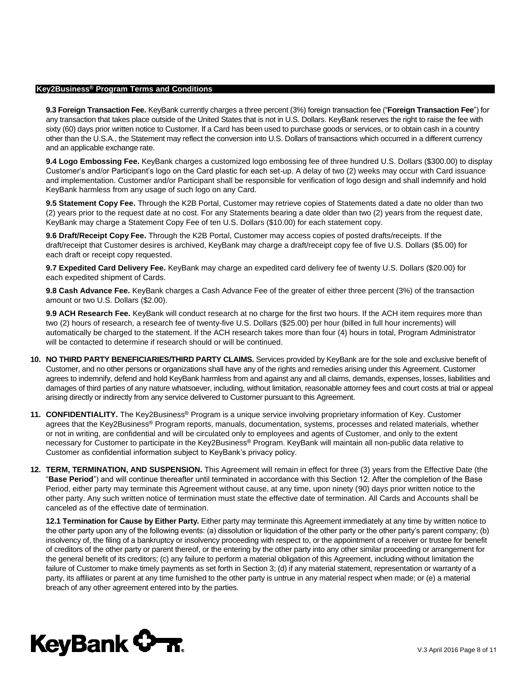**9.3 Foreign Transaction Fee.** KeyBank currently charges a three percent (3%) foreign transaction fee ("**Foreign Transaction Fee**") for any transaction that takes place outside of the United States that is not in U.S. Dollars. KeyBank reserves the right to raise the fee with sixty (60) days prior written notice to Customer. If a Card has been used to purchase goods or services, or to obtain cash in a country other than the U.S.A., the Statement may reflect the conversion into U.S. Dollars of transactions which occurred in a different currency and an applicable exchange rate.

**9.4 Logo Embossing Fee.** KeyBank charges a customized logo embossing fee of three hundred U.S. Dollars (\$300.00) to display Customer's and/or Participant's logo on the Card plastic for each set-up. A delay of two (2) weeks may occur with Card issuance and implementation. Customer and/or Participant shall be responsible for verification of logo design and shall indemnify and hold KeyBank harmless from any usage of such logo on any Card.

**9.5 Statement Copy Fee.** Through the K2B Portal, Customer may retrieve copies of Statements dated a date no older than two (2) years prior to the request date at no cost. For any Statements bearing a date older than two (2) years from the request date, KeyBank may charge a Statement Copy Fee of ten U.S. Dollars (\$10.00) for each statement copy.

**9.6 Draft/Receipt Copy Fee.** Through the K2B Portal, Customer may access copies of posted drafts/receipts. If the draft/receipt that Customer desires is archived, KeyBank may charge a draft/receipt copy fee of five U.S. Dollars (\$5.00) for each draft or receipt copy requested.

**9.7 Expedited Card Delivery Fee.** KeyBank may charge an expedited card delivery fee of twenty U.S. Dollars (\$20.00) for each expedited shipment of Cards.

**9.8 Cash Advance Fee.** KeyBank charges a Cash Advance Fee of the greater of either three percent (3%) of the transaction amount or two U.S. Dollars (\$2.00).

**9.9 ACH Research Fee.** KeyBank will conduct research at no charge for the first two hours. If the ACH item requires more than two (2) hours of research, a research fee of twenty-five U.S. Dollars (\$25.00) per hour (billed in full hour increments) will automatically be charged to the statement. If the ACH research takes more than four (4) hours in total, Program Administrator will be contacted to determine if research should or will be continued.

- **10. NO THIRD PARTY BENEFICIARIES/THIRD PARTY CLAIMS.** Services provided by KeyBank are for the sole and exclusive benefit of Customer, and no other persons or organizations shall have any of the rights and remedies arising under this Agreement. Customer agrees to indemnify, defend and hold KeyBank harmless from and against any and all claims, demands, expenses, losses, liabilities and damages of third parties of any nature whatsoever, including, without limitation, reasonable attorney fees and court costs at trial or appeal arising directly or indirectly from any service delivered to Customer pursuant to this Agreement.
- **11. CONFIDENTIALITY.** The Key2Business® Program is a unique service involving proprietary information of Key. Customer agrees that the Key2Business® Program reports, manuals, documentation, systems, processes and related materials, whether or not in writing, are confidential and will be circulated only to employees and agents of Customer, and only to the extent necessary for Customer to participate in the Key2Business® Program. KeyBank will maintain all non-public data relative to Customer as confidential information subject to KeyBank's privacy policy.
- **12. TERM, TERMINATION, AND SUSPENSION.** This Agreement will remain in effect for three (3) years from the Effective Date (the "**Base Period**") and will continue thereafter until terminated in accordance with this Section 12. After the completion of the Base Period, either party may terminate this Agreement without cause, at any time, upon ninety (90) days prior written notice to the other party. Any such written notice of termination must state the effective date of termination. All Cards and Accounts shall be canceled as of the effective date of termination.

**12.1 Termination for Cause by Either Party.** Either party may terminate this Agreement immediately at any time by written notice to the other party upon any of the following events: (a) dissolution or liquidation of the other party or the other party's parent company; (b) insolvency of, the filing of a bankruptcy or insolvency proceeding with respect to, or the appointment of a receiver or trustee for benefit of creditors of the other party or parent thereof, or the entering by the other party into any other similar proceeding or arrangement for the general benefit of its creditors; (c) any failure to perform a material obligation of this Agreement, including without limitation the failure of Customer to make timely payments as set forth in Section 3; (d) if any material statement, representation or warranty of a party, its affiliates or parent at any time furnished to the other party is untrue in any material respect when made; or (e) a material breach of any other agreement entered into by the parties.

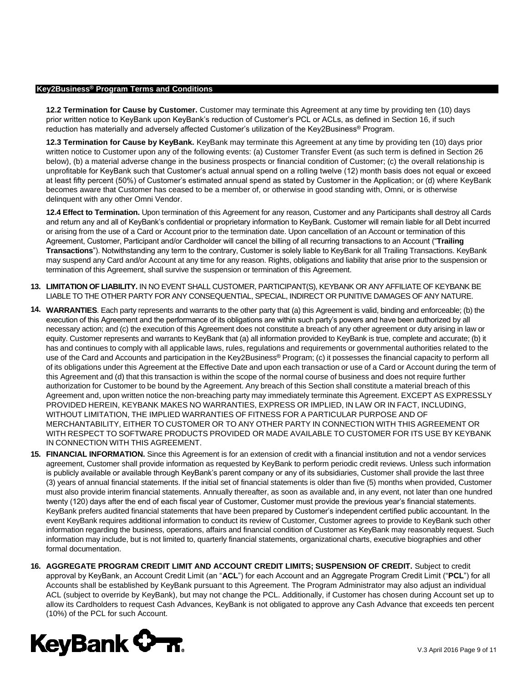**12.2 Termination for Cause by Customer.** Customer may terminate this Agreement at any time by providing ten (10) days prior written notice to KeyBank upon KeyBank's reduction of Customer's PCL or ACLs, as defined in Section 16, if such reduction has materially and adversely affected Customer's utilization of the Key2Business® Program.

**12.3 Termination for Cause by KeyBank.** KeyBank may terminate this Agreement at any time by providing ten (10) days prior written notice to Customer upon any of the following events: (a) Customer Transfer Event (as such term is defined in Section 26 below), (b) a material adverse change in the business prospects or financial condition of Customer; (c) the overall relationship is unprofitable for KeyBank such that Customer's actual annual spend on a rolling twelve (12) month basis does not equal or exceed at least fifty percent (50%) of Customer's estimated annual spend as stated by Customer in the Application; or (d) where KeyBank becomes aware that Customer has ceased to be a member of, or otherwise in good standing with, Omni, or is otherwise delinquent with any other Omni Vendor.

**12.4 Effect to Termination.** Upon termination of this Agreement for any reason, Customer and any Participants shall destroy all Cards and return any and all of KeyBank's confidential or proprietary information to KeyBank. Customer will remain liable for all Debt incurred or arising from the use of a Card or Account prior to the termination date. Upon cancellation of an Account or termination of this Agreement, Customer, Participant and/or Cardholder will cancel the billing of all recurring transactions to an Account ("**Trailing Transactions**"). Notwithstanding any term to the contrary, Customer is solely liable to KeyBank for all Trailing Transactions. KeyBank may suspend any Card and/or Account at any time for any reason. Rights, obligations and liability that arise prior to the suspension or termination of this Agreement, shall survive the suspension or termination of this Agreement.

- **13. LIMITATION OF LIABILITY.** IN NO EVENT SHALL CUSTOMER, PARTICIPANT(S), KEYBANK OR ANY AFFILIATE OF KEYBANK BE LIABLE TO THE OTHER PARTY FOR ANY CONSEQUENTIAL, SPECIAL, INDIRECT OR PUNITIVE DAMAGES OF ANY NATURE.
- **14. WARRANTIES**. Each party represents and warrants to the other party that (a) this Agreement is valid, binding and enforceable; (b) the execution of this Agreement and the performance of its obligations are within such party's powers and have been authorized by all necessary action; and (c) the execution of this Agreement does not constitute a breach of any other agreement or duty arising in law or equity. Customer represents and warrants to KeyBank that (a) all information provided to KeyBank is true, complete and accurate; (b) it has and continues to comply with all applicable laws, rules, regulations and requirements or governmental authorities related to the use of the Card and Accounts and participation in the Key2Business® Program; (c) it possesses the financial capacity to perform all of its obligations under this Agreement at the Effective Date and upon each transaction or use of a Card or Account during the term of this Agreement and (d) that this transaction is within the scope of the normal course of business and does not require further authorization for Customer to be bound by the Agreement. Any breach of this Section shall constitute a material breach of this Agreement and, upon written notice the non-breaching party may immediately terminate this Agreement. EXCEPT AS EXPRESSLY PROVIDED HEREIN, KEYBANK MAKES NO WARRANTIES, EXPRESS OR IMPLIED, IN LAW OR IN FACT, INCLUDING, WITHOUT LIMITATION, THE IMPLIED WARRANTIES OF FITNESS FOR A PARTICULAR PURPOSE AND OF MERCHANTABILITY, EITHER TO CUSTOMER OR TO ANY OTHER PARTY IN CONNECTION WITH THIS AGREEMENT OR WITH RESPECT TO SOFTWARE PRODUCTS PROVIDED OR MADE AVAILABLE TO CUSTOMER FOR ITS USE BY KEYBANK IN CONNECTION WITH THIS AGREEMENT.
- **15. FINANCIAL INFORMATION.** Since this Agreement is for an extension of credit with a financial institution and not a vendor services agreement, Customer shall provide information as requested by KeyBank to perform periodic credit reviews. Unless such information is publicly available or available through KeyBank's parent company or any of its subsidiaries, Customer shall provide the last three (3) years of annual financial statements. If the initial set of financial statements is older than five (5) months when provided, Customer must also provide interim financial statements. Annually thereafter, as soon as available and, in any event, not later than one hundred twenty (120) days after the end of each fiscal year of Customer, Customer must provide the previous year's financial statements. KeyBank prefers audited financial statements that have been prepared by Customer's independent certified public accountant. In the event KeyBank requires additional information to conduct its review of Customer, Customer agrees to provide to KeyBank such other information regarding the business, operations, affairs and financial condition of Customer as KeyBank may reasonably request. Such information may include, but is not limited to, quarterly financial statements, organizational charts, executive biographies and other formal documentation.
- **16. AGGREGATE PROGRAM CREDIT LIMIT AND ACCOUNT CREDIT LIMITS; SUSPENSION OF CREDIT.** Subject to credit approval by KeyBank, an Account Credit Limit (an "**ACL**") for each Account and an Aggregate Program Credit Limit ("**PCL**") for all Accounts shall be established by KeyBank pursuant to this Agreement. The Program Administrator may also adjust an individual ACL (subject to override by KeyBank), but may not change the PCL. Additionally, if Customer has chosen during Account set up to allow its Cardholders to request Cash Advances, KeyBank is not obligated to approve any Cash Advance that exceeds ten percent (10%) of the PCL for such Account.

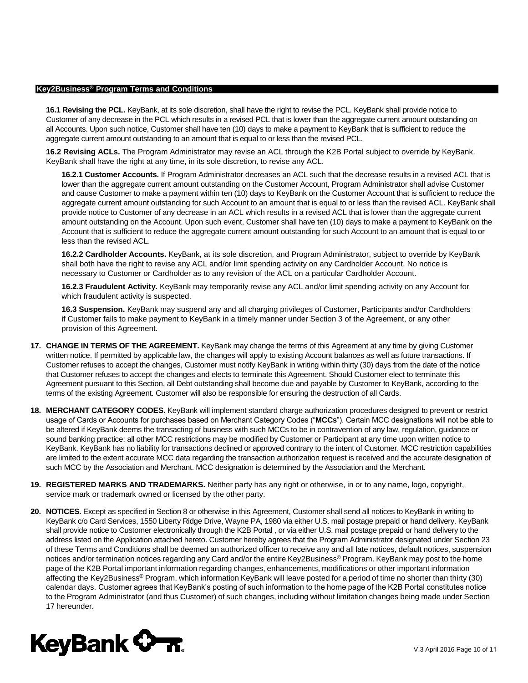**16.1 Revising the PCL.** KeyBank, at its sole discretion, shall have the right to revise the PCL. KeyBank shall provide notice to Customer of any decrease in the PCL which results in a revised PCL that is lower than the aggregate current amount outstanding on all Accounts. Upon such notice, Customer shall have ten (10) days to make a payment to KeyBank that is sufficient to reduce the aggregate current amount outstanding to an amount that is equal to or less than the revised PCL.

**16.2 Revising ACLs.** The Program Administrator may revise an ACL through the K2B Portal subject to override by KeyBank. KeyBank shall have the right at any time, in its sole discretion, to revise any ACL.

**16.2.1 Customer Accounts.** If Program Administrator decreases an ACL such that the decrease results in a revised ACL that is lower than the aggregate current amount outstanding on the Customer Account, Program Administrator shall advise Customer and cause Customer to make a payment within ten (10) days to KeyBank on the Customer Account that is sufficient to reduce the aggregate current amount outstanding for such Account to an amount that is equal to or less than the revised ACL. KeyBank shall provide notice to Customer of any decrease in an ACL which results in a revised ACL that is lower than the aggregate current amount outstanding on the Account. Upon such event, Customer shall have ten (10) days to make a payment to KeyBank on the Account that is sufficient to reduce the aggregate current amount outstanding for such Account to an amount that is equal to or less than the revised ACL.

**16.2.2 Cardholder Accounts.** KeyBank, at its sole discretion, and Program Administrator, subject to override by KeyBank shall both have the right to revise any ACL and/or limit spending activity on any Cardholder Account. No notice is necessary to Customer or Cardholder as to any revision of the ACL on a particular Cardholder Account.

**16.2.3 Fraudulent Activity.** KeyBank may temporarily revise any ACL and/or limit spending activity on any Account for which fraudulent activity is suspected.

**16.3 Suspension.** KeyBank may suspend any and all charging privileges of Customer, Participants and/or Cardholders if Customer fails to make payment to KeyBank in a timely manner under Section 3 of the Agreement, or any other provision of this Agreement.

- **17. CHANGE IN TERMS OF THE AGREEMENT.** KeyBank may change the terms of this Agreement at any time by giving Customer written notice. If permitted by applicable law, the changes will apply to existing Account balances as well as future transactions. If Customer refuses to accept the changes, Customer must notify KeyBank in writing within thirty (30) days from the date of the notice that Customer refuses to accept the changes and elects to terminate this Agreement. Should Customer elect to terminate this Agreement pursuant to this Section, all Debt outstanding shall become due and payable by Customer to KeyBank, according to the terms of the existing Agreement. Customer will also be responsible for ensuring the destruction of all Cards.
- **18. MERCHANT CATEGORY CODES.** KeyBank will implement standard charge authorization procedures designed to prevent or restrict usage of Cards or Accounts for purchases based on Merchant Category Codes ("**MCCs**"). Certain MCC designations will not be able to be altered if KeyBank deems the transacting of business with such MCCs to be in contravention of any law, regulation, guidance or sound banking practice; all other MCC restrictions may be modified by Customer or Participant at any time upon written notice to KeyBank. KeyBank has no liability for transactions declined or approved contrary to the intent of Customer. MCC restriction capabilities are limited to the extent accurate MCC data regarding the transaction authorization request is received and the accurate designation of such MCC by the Association and Merchant. MCC designation is determined by the Association and the Merchant.
- **19. REGISTERED MARKS AND TRADEMARKS.** Neither party has any right or otherwise, in or to any name, logo, copyright, service mark or trademark owned or licensed by the other party.
- **20. NOTICES.** Except as specified in Section 8 or otherwise in this Agreement, Customer shall send all notices to KeyBank in writing to KeyBank c/o Card Services, 1550 Liberty Ridge Drive, Wayne PA, 1980 via either U.S. mail postage prepaid or hand delivery. KeyBank shall provide notice to Customer electronically through the K2B Portal , or via either U.S. mail postage prepaid or hand delivery to the address listed on the Application attached hereto. Customer hereby agrees that the Program Administrator designated under Section 23 of these Terms and Conditions shall be deemed an authorized officer to receive any and all late notices, default notices, suspension notices and/or termination notices regarding any Card and/or the entire Key2Business® Program. KeyBank may post to the home page of the K2B Portal important information regarding changes, enhancements, modifications or other important information affecting the Key2Business® Program, which information KeyBank will leave posted for a period of time no shorter than thirty (30) calendar days. Customer agrees that KeyBank's posting of such information to the home page of the K2B Portal constitutes notice to the Program Administrator (and thus Customer) of such changes, including without limitation changes being made under Section 17 hereunder.

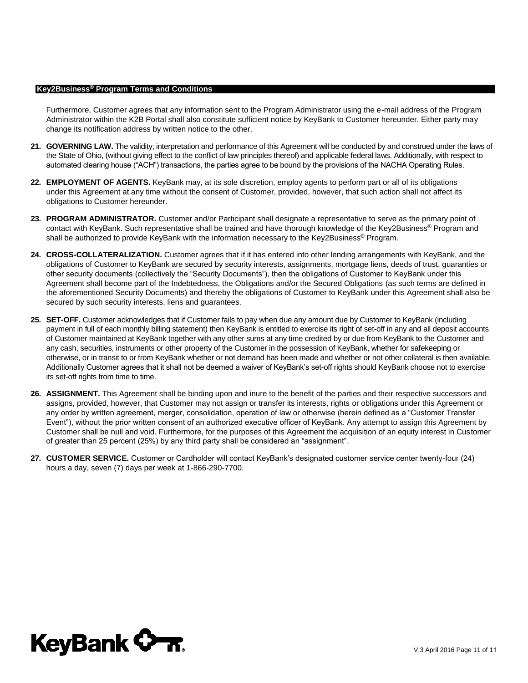Furthermore, Customer agrees that any information sent to the Program Administrator using the e-mail address of the Program Administrator within the K2B Portal shall also constitute sufficient notice by KeyBank to Customer hereunder. Either party may change its notification address by written notice to the other.

- **21. GOVERNING LAW.** The validity, interpretation and performance of this Agreement will be conducted by and construed under the laws of the State of Ohio, (without giving effect to the conflict of law principles thereof) and applicable federal laws. Additionally, with respect to automated clearing house ("ACH") transactions, the parties agree to be bound by the provisions of the NACHA Operating Rules.
- **22. EMPLOYMENT OF AGENTS.** KeyBank may, at its sole discretion, employ agents to perform part or all of its obligations under this Agreement at any time without the consent of Customer, provided, however, that such action shall not affect its obligations to Customer hereunder.
- **23. PROGRAM ADMINISTRATOR.** Customer and/or Participant shall designate a representative to serve as the primary point of contact with KeyBank. Such representative shall be trained and have thorough knowledge of the Key2Business® Program and shall be authorized to provide KeyBank with the information necessary to the Key2Business® Program.
- **24. CROSS-COLLATERALIZATION.** Customer agrees that if it has entered into other lending arrangements with KeyBank, and the obligations of Customer to KeyBank are secured by security interests, assignments, mortgage liens, deeds of trust, guaranties or other security documents (collectively the "Security Documents"), then the obligations of Customer to KeyBank under this Agreement shall become part of the Indebtedness, the Obligations and/or the Secured Obligations (as such terms are defined in the aforementioned Security Documents) and thereby the obligations of Customer to KeyBank under this Agreement shall also be secured by such security interests, liens and guarantees.
- **25. SET-OFF.** Customer acknowledges that if Customer fails to pay when due any amount due by Customer to KeyBank (including payment in full of each monthly billing statement) then KeyBank is entitled to exercise its right of set-off in any and all deposit accounts of Customer maintained at KeyBank together with any other sums at any time credited by or due from KeyBank to the Customer and any cash, securities, instruments or other property of the Customer in the possession of KeyBank, whether for safekeeping or otherwise, or in transit to or from KeyBank whether or not demand has been made and whether or not other collateral is then available. Additionally Customer agrees that it shall not be deemed a waiver of KeyBank's set-off rights should KeyBank choose not to exercise its set-off rights from time to time.
- **26. ASSIGNMENT.** This Agreement shall be binding upon and inure to the benefit of the parties and their respective successors and assigns, provided, however, that Customer may not assign or transfer its interests, rights or obligations under this Agreement or any order by written agreement, merger, consolidation, operation of law or otherwise (herein defined as a "Customer Transfer Event"), without the prior written consent of an authorized executive officer of KeyBank. Any attempt to assign this Agreement by Customer shall be null and void. Furthermore, for the purposes of this Agreement the acquisition of an equity interest in Customer of greater than 25 percent (25%) by any third party shall be considered an "assignment".
- **27. CUSTOMER SERVICE.** Customer or Cardholder will contact KeyBank's designated customer service center twenty-four (24) hours a day, seven (7) days per week at 1-866-290-7700.

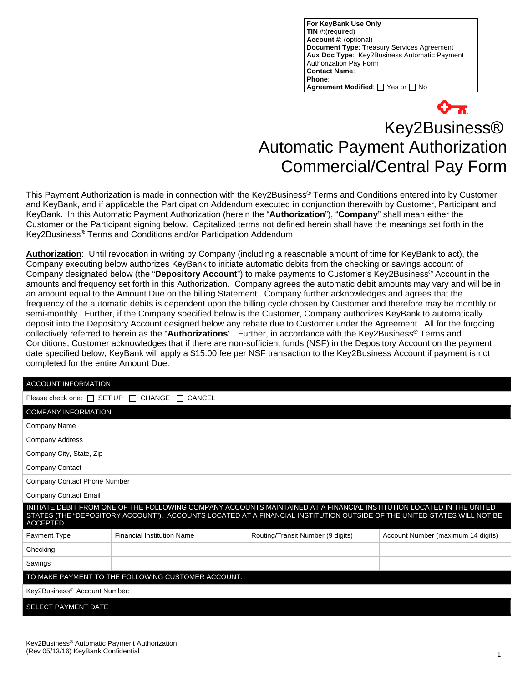**For KeyBank Use Only TIN** #:(required) **Account** #: (optional) **Document Type**: Treasury Services Agreement **Aux Doc Type**: Key2Business Automatic Payment Authorization Pay Form **Contact Name**: **Phone**: **Agreement Modified:** Thes or The

# Key2Business® Automatic Payment Authorization Commercial/Central Pay Form

This Payment Authorization is made in connection with the Key2Business® Terms and Conditions entered into by Customer and KeyBank, and if applicable the Participation Addendum executed in conjunction therewith by Customer, Participant and KeyBank. In this Automatic Payment Authorization (herein the "**Authorization**"), "**Company**" shall mean either the Customer or the Participant signing below. Capitalized terms not defined herein shall have the meanings set forth in the Key2Business® Terms and Conditions and/or Participation Addendum.

**Authorization**: Until revocation in writing by Company (including a reasonable amount of time for KeyBank to act), the Company executing below authorizes KeyBank to initiate automatic debits from the checking or savings account of Company designated below (the "**Depository Account**") to make payments to Customer's Key2Business® Account in the amounts and frequency set forth in this Authorization. Company agrees the automatic debit amounts may vary and will be in an amount equal to the Amount Due on the billing Statement. Company further acknowledges and agrees that the frequency of the automatic debits is dependent upon the billing cycle chosen by Customer and therefore may be monthly or semi-monthly. Further, if the Company specified below is the Customer, Company authorizes KeyBank to automatically deposit into the Depository Account designed below any rebate due to Customer under the Agreement. All for the forgoing collectively referred to herein as the "**Authorizations**". Further, in accordance with the Key2Business® Terms and Conditions, Customer acknowledges that if there are non-sufficient funds (NSF) in the Depository Account on the payment date specified below, KeyBank will apply a \$15.00 fee per NSF transaction to the Key2Business Account if payment is not completed for the entire Amount Due.

| <b>ACCOUNT INFORMATION</b>                                                                                                                                                                                                                                    |                                   |  |                                   |                                    |
|---------------------------------------------------------------------------------------------------------------------------------------------------------------------------------------------------------------------------------------------------------------|-----------------------------------|--|-----------------------------------|------------------------------------|
| Please check one: $\Box$ SET UP $\Box$ CHANGE $\Box$<br>CANCEL                                                                                                                                                                                                |                                   |  |                                   |                                    |
| <b>COMPANY INFORMATION</b>                                                                                                                                                                                                                                    |                                   |  |                                   |                                    |
| <b>Company Name</b>                                                                                                                                                                                                                                           |                                   |  |                                   |                                    |
| <b>Company Address</b>                                                                                                                                                                                                                                        |                                   |  |                                   |                                    |
| Company City, State, Zip                                                                                                                                                                                                                                      |                                   |  |                                   |                                    |
| <b>Company Contact</b>                                                                                                                                                                                                                                        |                                   |  |                                   |                                    |
| <b>Company Contact Phone Number</b>                                                                                                                                                                                                                           |                                   |  |                                   |                                    |
| Company Contact Email                                                                                                                                                                                                                                         |                                   |  |                                   |                                    |
| INITIATE DEBIT FROM ONE OF THE FOLLOWING COMPANY ACCOUNTS MAINTAINED AT A FINANCIAL INSTITUTION LOCATED IN THE UNITED<br>STATES (THE "DEPOSITORY ACCOUNT"). ACCOUNTS LOCATED AT A FINANCIAL INSTITUTION OUTSIDE OF THE UNITED STATES WILL NOT BE<br>ACCEPTED. |                                   |  |                                   |                                    |
| Payment Type                                                                                                                                                                                                                                                  | <b>Financial Institution Name</b> |  | Routing/Transit Number (9 digits) | Account Number (maximum 14 digits) |
| Checking                                                                                                                                                                                                                                                      |                                   |  |                                   |                                    |
| Savings                                                                                                                                                                                                                                                       |                                   |  |                                   |                                    |
| TO MAKE PAYMENT TO THE FOLLOWING CUSTOMER ACCOUNT:                                                                                                                                                                                                            |                                   |  |                                   |                                    |
| Key2Business <sup>®</sup> Account Number:                                                                                                                                                                                                                     |                                   |  |                                   |                                    |
| SELECT PAYMENT DATE                                                                                                                                                                                                                                           |                                   |  |                                   |                                    |